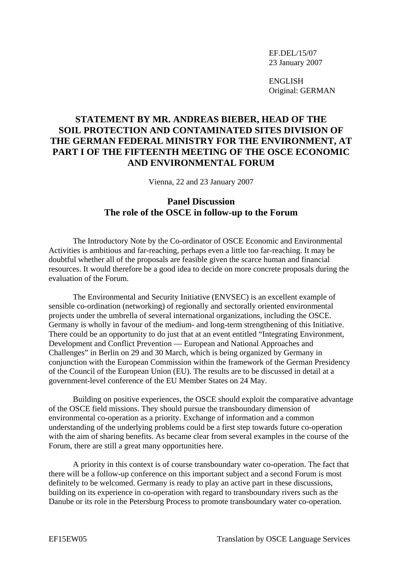EF.DEL/15/07 23 January 2007

ENGLISH Original: GERMAN

## **STATEMENT BY MR. ANDREAS BIEBER, HEAD OF THE SOIL PROTECTION AND CONTAMINATED SITES DIVISION OF THE GERMAN FEDERAL MINISTRY FOR THE ENVIRONMENT, AT PART I OF THE FIFTEENTH MEETING OF THE OSCE ECONOMIC AND ENVIRONMENTAL FORUM**

Vienna, 22 and 23 January 2007

## **Panel Discussion The role of the OSCE in follow-up to the Forum**

 The Introductory Note by the Co-ordinator of OSCE Economic and Environmental Activities is ambitious and far-reaching, perhaps even a little too far-reaching. It may be doubtful whether all of the proposals are feasible given the scarce human and financial resources. It would therefore be a good idea to decide on more concrete proposals during the evaluation of the Forum.

 The Environmental and Security Initiative (ENVSEC) is an excellent example of sensible co-ordination (networking) of regionally and sectorally oriented environmental projects under the umbrella of several international organizations, including the OSCE. Germany is wholly in favour of the medium- and long-term strengthening of this Initiative. There could be an opportunity to do just that at an event entitled "Integrating Environment, Development and Conflict Prevention — European and National Approaches and Challenges" in Berlin on 29 and 30 March, which is being organized by Germany in conjunction with the European Commission within the framework of the German Presidency of the Council of the European Union (EU). The results are to be discussed in detail at a government-level conference of the EU Member States on 24 May.

 Building on positive experiences, the OSCE should exploit the comparative advantage of the OSCE field missions. They should pursue the transboundary dimension of environmental co-operation as a priority. Exchange of information and a common understanding of the underlying problems could be a first step towards future co-operation with the aim of sharing benefits. As became clear from several examples in the course of the Forum, there are still a great many opportunities here.

 A priority in this context is of course transboundary water co-operation. The fact that there will be a follow-up conference on this important subject and a second Forum is most definitely to be welcomed. Germany is ready to play an active part in these discussions, building on its experience in co-operation with regard to transboundary rivers such as the Danube or its role in the Petersburg Process to promote transboundary water co-operation.